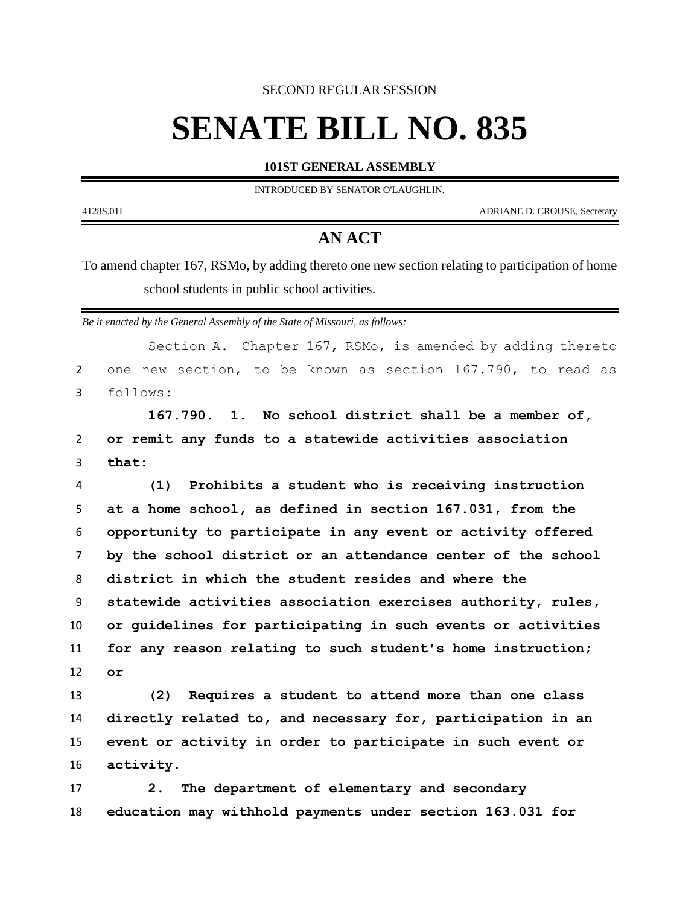SECOND REGULAR SESSION

## **SENATE BILL NO. 835**

**101ST GENERAL ASSEMBLY**

INTRODUCED BY SENATOR O'LAUGHLIN.

4128S.01I ADRIANE D. CROUSE, Secretary

-

## **AN ACT**

To amend chapter 167, RSMo, by adding thereto one new section relating to participation of home school students in public school activities.

*Be it enacted by the General Assembly of the State of Missouri, as follows:*

|                | Section A. Chapter 167, RSMo, is amended by adding thereto   |
|----------------|--------------------------------------------------------------|
| $\overline{2}$ | one new section, to be known as section 167.790, to read as  |
| 3              | follows:                                                     |
|                | 167.790. 1. No school district shall be a member of,         |
| $\overline{2}$ | or remit any funds to a statewide activities association     |
| 3              | that:                                                        |
| 4              | Prohibits a student who is receiving instruction<br>(1)      |
| 5              | at a home school, as defined in section 167.031, from the    |
| 6              | opportunity to participate in any event or activity offered  |
| $\overline{7}$ | by the school district or an attendance center of the school |
| 8              | district in which the student resides and where the          |
| 9              | statewide activities association exercises authority, rules, |
| 10             | or guidelines for participating in such events or activities |
| 11             | for any reason relating to such student's home instruction;  |
| 12             | or                                                           |
| 13             | (2) Requires a student to attend more than one class         |
| 14             | directly related to, and necessary for, participation in an  |
| 15             | event or activity in order to participate in such event or   |
| 16             | activity.                                                    |
| 17             | The department of elementary and secondary<br>2 <sub>1</sub> |
| 18             | education may withhold payments under section 163.031 for    |
|                |                                                              |